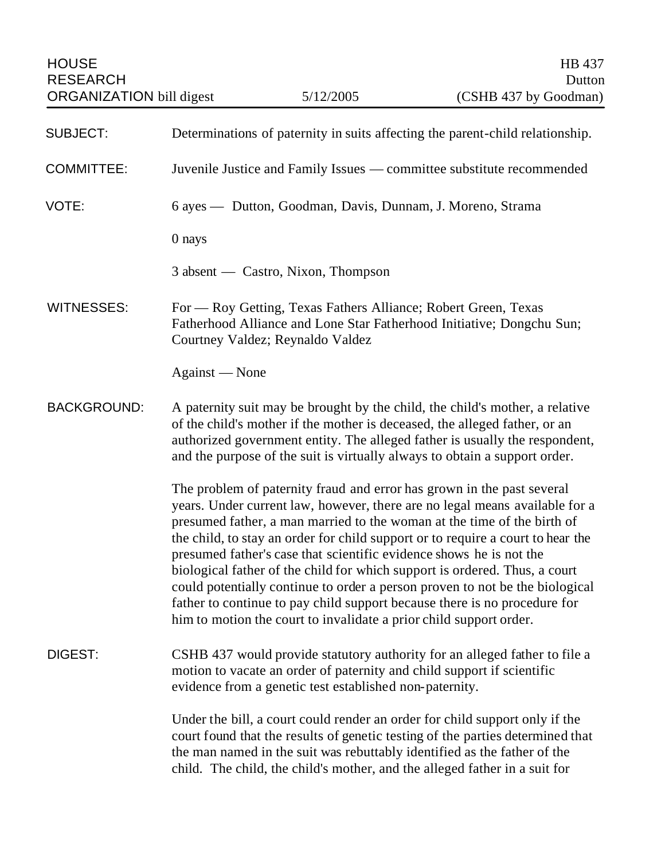| <b>SUBJECT:</b>    | Determinations of paternity in suits affecting the parent-child relationship.                                                                                                                                                                                                                                                                                                                                                                                                                                                                                                                                                                                                                               |
|--------------------|-------------------------------------------------------------------------------------------------------------------------------------------------------------------------------------------------------------------------------------------------------------------------------------------------------------------------------------------------------------------------------------------------------------------------------------------------------------------------------------------------------------------------------------------------------------------------------------------------------------------------------------------------------------------------------------------------------------|
| <b>COMMITTEE:</b>  | Juvenile Justice and Family Issues — committee substitute recommended                                                                                                                                                                                                                                                                                                                                                                                                                                                                                                                                                                                                                                       |
| VOTE:              | 6 ayes — Dutton, Goodman, Davis, Dunnam, J. Moreno, Strama                                                                                                                                                                                                                                                                                                                                                                                                                                                                                                                                                                                                                                                  |
|                    | 0 nays                                                                                                                                                                                                                                                                                                                                                                                                                                                                                                                                                                                                                                                                                                      |
|                    | 3 absent — Castro, Nixon, Thompson                                                                                                                                                                                                                                                                                                                                                                                                                                                                                                                                                                                                                                                                          |
| <b>WITNESSES:</b>  | For - Roy Getting, Texas Fathers Alliance; Robert Green, Texas<br>Fatherhood Alliance and Lone Star Fatherhood Initiative; Dongchu Sun;<br>Courtney Valdez; Reynaldo Valdez                                                                                                                                                                                                                                                                                                                                                                                                                                                                                                                                 |
|                    | Against - None                                                                                                                                                                                                                                                                                                                                                                                                                                                                                                                                                                                                                                                                                              |
| <b>BACKGROUND:</b> | A paternity suit may be brought by the child, the child's mother, a relative<br>of the child's mother if the mother is deceased, the alleged father, or an<br>authorized government entity. The alleged father is usually the respondent,<br>and the purpose of the suit is virtually always to obtain a support order.                                                                                                                                                                                                                                                                                                                                                                                     |
|                    | The problem of paternity fraud and error has grown in the past several<br>years. Under current law, however, there are no legal means available for a<br>presumed father, a man married to the woman at the time of the birth of<br>the child, to stay an order for child support or to require a court to hear the<br>presumed father's case that scientific evidence shows he is not the<br>biological father of the child for which support is ordered. Thus, a court<br>could potentially continue to order a person proven to not be the biological<br>father to continue to pay child support because there is no procedure for<br>him to motion the court to invalidate a prior child support order. |
| DIGEST:            | CSHB 437 would provide statutory authority for an alleged father to file a<br>motion to vacate an order of paternity and child support if scientific<br>evidence from a genetic test established non-paternity.                                                                                                                                                                                                                                                                                                                                                                                                                                                                                             |
|                    | Under the bill, a court could render an order for child support only if the<br>court found that the results of genetic testing of the parties determined that<br>the man named in the suit was rebuttably identified as the father of the<br>child. The child, the child's mother, and the alleged father in a suit for                                                                                                                                                                                                                                                                                                                                                                                     |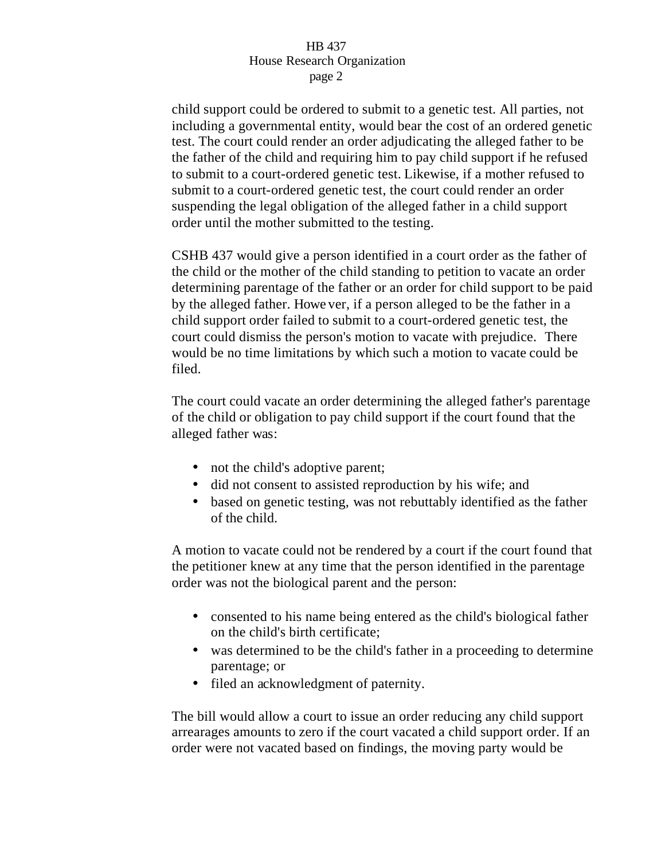## HB 437 House Research Organization page 2

child support could be ordered to submit to a genetic test. All parties, not including a governmental entity, would bear the cost of an ordered genetic test. The court could render an order adjudicating the alleged father to be the father of the child and requiring him to pay child support if he refused to submit to a court-ordered genetic test. Likewise, if a mother refused to submit to a court-ordered genetic test, the court could render an order suspending the legal obligation of the alleged father in a child support order until the mother submitted to the testing.

CSHB 437 would give a person identified in a court order as the father of the child or the mother of the child standing to petition to vacate an order determining parentage of the father or an order for child support to be paid by the alleged father. Howe ver, if a person alleged to be the father in a child support order failed to submit to a court-ordered genetic test, the court could dismiss the person's motion to vacate with prejudice. There would be no time limitations by which such a motion to vacate could be filed.

The court could vacate an order determining the alleged father's parentage of the child or obligation to pay child support if the court found that the alleged father was:

- not the child's adoptive parent;
- did not consent to assisted reproduction by his wife; and
- based on genetic testing, was not rebuttably identified as the father of the child.

A motion to vacate could not be rendered by a court if the court found that the petitioner knew at any time that the person identified in the parentage order was not the biological parent and the person:

- consented to his name being entered as the child's biological father on the child's birth certificate;
- was determined to be the child's father in a proceeding to determine parentage; or
- filed an acknowledgment of paternity.

The bill would allow a court to issue an order reducing any child support arrearages amounts to zero if the court vacated a child support order. If an order were not vacated based on findings, the moving party would be